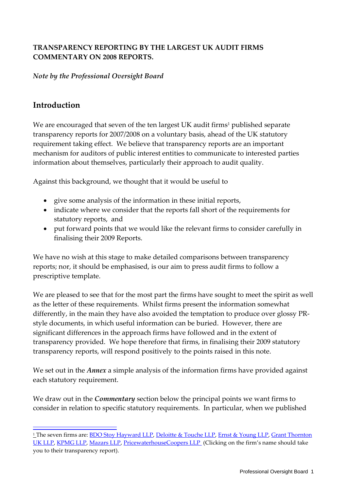## **TRANSPARENCY REPORTING BY THE LARGEST UK AUDIT FIRMS COMMENTARY ON 2008 REPORTS.**

### *Note by the Professional Oversight Board*

# **Introduction**

 $\overline{\phantom{a}}$ 

We are encouraged that seven of the ten largest UK audit firms<sup>1</sup> published separate transparency reports for 2007/2008 on a voluntary basis, ahead of the UK statutory requirement taking effect. We believe that transparency reports are an important mechanism for auditors of public interest entities to communicate to interested parties information about themselves, particularly their approach to audit quality.

Against this background, we thought that it would be useful to

- give some analysis of the information in these initial reports,
- indicate where we consider that the reports fall short of the requirements for statutory reports, and
- put forward points that we would like the relevant firms to consider carefully in finalising their 2009 Reports.

We have no wish at this stage to make detailed comparisons between transparency reports; nor, it should be emphasised, is our aim to press audit firms to follow a prescriptive template.

We are pleased to see that for the most part the firms have sought to meet the spirit as well as the letter of these requirements. Whilst firms present the information somewhat differently, in the main they have also avoided the temptation to produce over glossy PRstyle documents, in which useful information can be buried. However, there are significant differences in the approach firms have followed and in the extent of transparency provided. We hope therefore that firms, in finalising their 2009 statutory transparency reports, will respond positively to the points raised in this note.

We set out in the *Annex* a simple analysis of the information firms have provided against each statutory requirement.

We draw out in the *Commentary* section below the principal points we want firms to consider in relation to specific statutory requirements. In particular, when we published

<sup>1</sup> The seven firms are[: BDO Stoy Hayward LLP,](http://www.bdo.uk.com/bdo-stoy-hayward/live/about-bdo-stoy-hayward/transparency-statement-under-the-eu-8th-directive/Transparency_Statement_for_the_53_weeks_ended_4_July_2008.pdf) Deloitte & [Touche LLP,](http://annualreport.deloitte.co.uk/audit-transparency-2008/) [Ernst & Young LLP,](http://www.eyi.com/Publication/vwLUAssets/EY_Transparency_Report_2008/$file/UK_Transparency_Report_61008.pdf) [Grant Thornton](http://www.grant-thornton.co.uk/PDF/Transparency_Report_2008.pdf)  [UK LLP,](http://www.grant-thornton.co.uk/PDF/Transparency_Report_2008.pdf) [KPMG LLP,](http://www.kpmg.co.uk/pubs/KPMG_UK_Transparency%20Report.pdf) [Mazars LLP,](http://www.mazars.co.uk/Home/News/Our-publications/General-publications/Mazars-Transparency-Report-2008) [PricewaterhouseCoopers LLP](http://www.pwc.co.uk/annualreport08/pwc_2008_transparency_report.pdf) (Clicking on the firm's name should take you to their transparency report).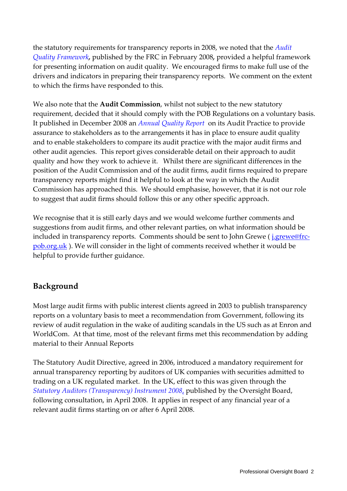the statutory requirements for transparency reports in 2008, we noted that the *[Audit](http://www.frc.org.uk/images/uploaded/documents/Audit%20Quality%20Framework%20for%20web1.pdf)  [Quality Framework](http://www.frc.org.uk/images/uploaded/documents/Audit%20Quality%20Framework%20for%20web1.pdf),* published by the FRC in February 2008*,* provided a helpful framework for presenting information on audit quality. We encouraged firms to make full use of the drivers and indicators in preparing their transparency reports. We comment on the extent to which the firms have responded to this.

We also note that the **Audit Commission**, whilst not subject to the new statutory requirement, decided that it should comply with the POB Regulations on a voluntary basis. It published in December 2008 an *[Annual Quality Report](http://www.audit-commission.gov.uk/SiteCollectionDocuments/AnnualReports/2008/AuditPracticeAnnualQuality19Dec08REP.pdf)* on its Audit Practice to provide assurance to stakeholders as to the arrangements it has in place to ensure audit quality and to enable stakeholders to compare its audit practice with the major audit firms and other audit agencies. This report gives considerable detail on their approach to audit quality and how they work to achieve it. Whilst there are significant differences in the position of the Audit Commission and of the audit firms, audit firms required to prepare transparency reports might find it helpful to look at the way in which the Audit Commission has approached this. We should emphasise, however, that it is not our role to suggest that audit firms should follow this or any other specific approach.

We recognise that it is still early days and we would welcome further comments and suggestions from audit firms, and other relevant parties, on what information should be included in transparency reports. Comments should be sent to John Grewe (*j.grewe@frc*[pob.org.uk](mailto:j.grewe@frc-pob.org.uk) ). We will consider in the light of comments received whether it would be helpful to provide further guidance.

# **Background**

Most large audit firms with public interest clients agreed in 2003 to publish transparency reports on a voluntary basis to meet a recommendation from Government, following its review of audit regulation in the wake of auditing scandals in the US such as at Enron and WorldCom. At that time, most of the relevant firms met this recommendation by adding material to their Annual Reports

The Statutory Audit Directive, agreed in 2006, introduced a mandatory requirement for annual transparency reporting by auditors of UK companies with securities admitted to trading on a UK regulated market. In the UK, effect to this was given through the *[Statutory Auditors \(Transparency\) Instrument 2008](http://www.frc.org.uk/documents/pagemanager/pob/TheStatutoryAuditorsTransparencyInstrument2008FINAL.pdf)*, published by the Oversight Board, following consultation, in April 2008. It applies in respect of any financial year of a relevant audit firms starting on or after 6 April 2008.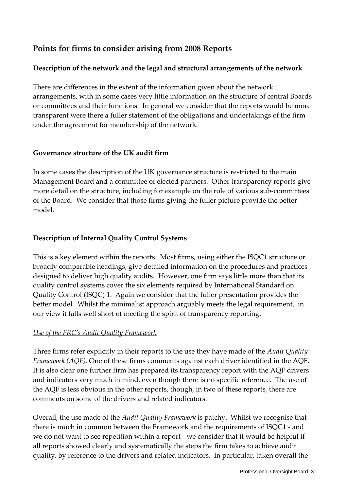# **Points for firms to consider arising from 2008 Reports**

## **Description of the network and the legal and structural arrangements of the network**

There are differences in the extent of the information given about the network arrangements, with in some cases very little information on the structure of central Boards or committees and their functions. In general we consider that the reports would be more transparent were there a fuller statement of the obligations and undertakings of the firm under the agreement for membership of the network.

#### **Governance structure of the UK audit firm**

In some cases the description of the UK governance structure is restricted to the main Management Board and a committee of elected partners. Other transparency reports give more detail on the structure, including for example on the role of various sub-committees of the Board. We consider that those firms giving the fuller picture provide the better model.

## **Description of Internal Quality Control Systems**

This is a key element within the reports. Most firms, using either the ISQC1 structure or broadly comparable headings, give detailed information on the procedures and practices designed to deliver high quality audits. However, one firm says little more than that its quality control systems cover the six elements required by International Standard on Quality Control (ISQC) 1. Again we consider that the fuller presentation provides the better model. Whilst the minimalist approach arguably meets the legal requirement, in our view it falls well short of meeting the spirit of transparency reporting.

## *Use of the FRC's Audit Quality Framework*

Three firms refer explicitly in their reports to the use they have made of the *Audit Quality Framework (AQF).* One of these firms comments against each driver identified in the AQF. It is also clear one further firm has prepared its transparency report with the AQF drivers and indicators very much in mind, even though there is no specific reference. The use of the AQF is less obvious in the other reports, though, in two of these reports, there are comments on some of the drivers and related indicators.

Overall, the use made of the *Audit Quality Framework* is patchy. Whilst we recognise that there is much in common between the Framework and the requirements of ISQC1 - and we do not want to see repetition within a report - we consider that it would be helpful if all reports showed clearly and systematically the steps the firm takes to achieve audit quality, by reference to the drivers and related indicators. In particular, taken overall the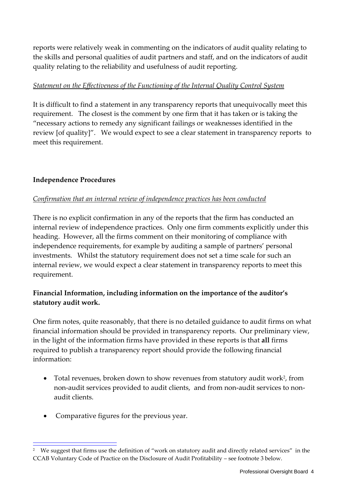reports were relatively weak in commenting on the indicators of audit quality relating to the skills and personal qualities of audit partners and staff, and on the indicators of audit quality relating to the reliability and usefulness of audit reporting.

#### *Statement on the Effectiveness of the Functioning of the Internal Quality Control System*

It is difficult to find a statement in any transparency reports that unequivocally meet this requirement. The closest is the comment by one firm that it has taken or is taking the "necessary actions to remedy any significant failings or weaknesses identified in the review [of quality]". We would expect to see a clear statement in transparency reports to meet this requirement.

#### **Independence Procedures**

#### *Confirmation that an internal review of independence practices has been conducted*

There is no explicit confirmation in any of the reports that the firm has conducted an internal review of independence practices. Only one firm comments explicitly under this heading. However, all the firms comment on their monitoring of compliance with independence requirements, for example by auditing a sample of partners' personal investments. Whilst the statutory requirement does not set a time scale for such an internal review, we would expect a clear statement in transparency reports to meet this requirement.

## **Financial Information, including information on the importance of the auditor's statutory audit work.**

One firm notes, quite reasonably, that there is no detailed guidance to audit firms on what financial information should be provided in transparency reports. Our preliminary view, in the light of the information firms have provided in these reports is that **all** firms required to publish a transparency report should provide the following financial information:

- Total revenues, broken down to show revenues from statutory audit work<sup>2</sup>, from non-audit services provided to audit clients, and from non-audit services to nonaudit clients.
- Comparative figures for the previous year.

 $\overline{\phantom{a}}$ 

<sup>2</sup> We suggest that firms use the definition of "work on statutory audit and directly related services" in the CCAB Voluntary Code of Practice on the Disclosure of Audit Profitability – see footnote 3 below.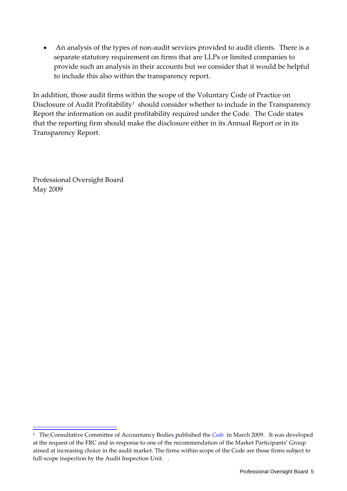An analysis of the types of non-audit services provided to audit clients. There is a separate statutory requirement on firms that are LLPs or limited companies to provide such an analysis in their accounts but we consider that it would be helpful to include this also within the transparency report.

In addition, those audit firms within the scope of the Voluntary Code of Practice on Disclosure of Audit Profitability<sup>3</sup> should consider whether to include in the Transparency Report the information on audit profitability required under the Code. The Code states that the reporting firm should make the disclosure either in its Annual Report or in its Transparency Report.

Professional Oversight Board May 2009

 $\overline{\phantom{a}}$ 

<sup>&</sup>lt;sup>3</sup> The\_Consultative Committee of Accountancy Bodies\_published the *[Code](http://www.ccab.org.uk/PDFs/voluntary%20code_final.pdf)* in March 2009. It was developed at the request of the FRC and in response to one of the recommendation of the Market Participants' Group aimed at increasing choice in the audit market. The firms within scope of the Code are those firms subject to full-scope inspection by the Audit Inspection Unit. .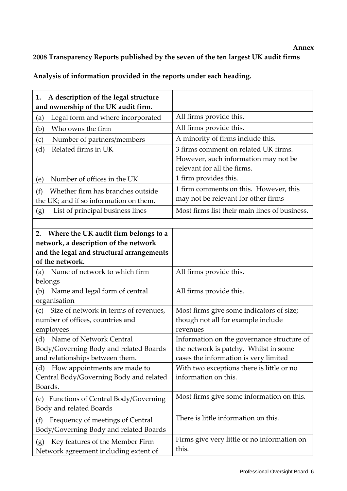#### **Annex**

# **2008 Transparency Reports published by the seven of the ten largest UK audit firms**

| A description of the legal structure<br>1.<br>and ownership of the UK audit firm. |                                                      |
|-----------------------------------------------------------------------------------|------------------------------------------------------|
| Legal form and where incorporated<br>(a)                                          | All firms provide this.                              |
| Who owns the firm<br>(b)                                                          | All firms provide this.                              |
| Number of partners/members<br>(c)                                                 | A minority of firms include this.                    |
| Related firms in UK<br>(d)                                                        | 3 firms comment on related UK firms.                 |
|                                                                                   | However, such information may not be                 |
|                                                                                   | relevant for all the firms.                          |
| Number of offices in the UK<br>(e)                                                | 1 firm provides this.                                |
| Whether firm has branches outside<br>(f)                                          | 1 firm comments on this. However, this               |
| the UK; and if so information on them.                                            | may not be relevant for other firms                  |
| List of principal business lines<br>(g)                                           | Most firms list their main lines of business.        |
|                                                                                   |                                                      |
| Where the UK audit firm belongs to a<br>2.                                        |                                                      |
| network, a description of the network                                             |                                                      |
| and the legal and structural arrangements                                         |                                                      |
| of the network.                                                                   |                                                      |
| (a) Name of network to which firm                                                 | All firms provide this.                              |
| belongs                                                                           |                                                      |
| Name and legal form of central<br>(b)<br>organisation                             | All firms provide this.                              |
| Size of network in terms of revenues,<br>(c)                                      | Most firms give some indicators of size;             |
| number of offices, countries and                                                  | though not all for example include                   |
| employees                                                                         | revenues                                             |
| (d) Name of Network Central                                                       | Information on the governance structure of           |
| Body/Governing Body and related Boards                                            | the network is patchy. Whilst in some                |
| and relationships between them.                                                   | cases the information is very limited                |
| How appointments are made to<br>(d)                                               | With two exceptions there is little or no            |
| Central Body/Governing Body and related                                           | information on this.                                 |
| Boards.                                                                           |                                                      |
| Functions of Central Body/Governing<br>(e)                                        | Most firms give some information on this.            |
| Body and related Boards                                                           | There is little information on this.                 |
| Frequency of meetings of Central<br>(f)                                           |                                                      |
| Body/Governing Body and related Boards                                            |                                                      |
| Key features of the Member Firm<br>(g)                                            | Firms give very little or no information on<br>this. |
| Network agreement including extent of                                             |                                                      |

**Analysis of information provided in the reports under each heading.**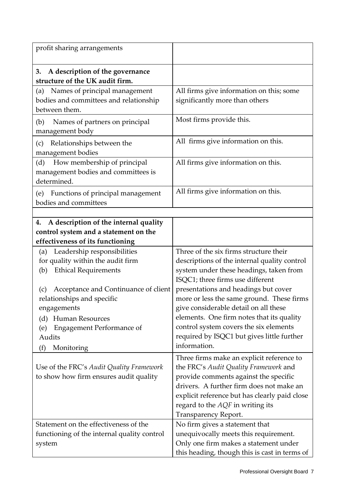| profit sharing arrangements                                                                                              |                                                                             |
|--------------------------------------------------------------------------------------------------------------------------|-----------------------------------------------------------------------------|
| A description of the governance<br>3.<br>structure of the UK audit firm.                                                 |                                                                             |
| Names of principal management<br>(a)                                                                                     | All firms give information on this; some                                    |
| bodies and committees and relationship                                                                                   | significantly more than others                                              |
| between them.                                                                                                            |                                                                             |
| (b)<br>Names of partners on principal<br>management body                                                                 | Most firms provide this.                                                    |
| Relationships between the<br>(c)                                                                                         | All firms give information on this.                                         |
| management bodies                                                                                                        |                                                                             |
| How membership of principal<br>(d)<br>management bodies and committees is<br>determined.                                 | All firms give information on this.                                         |
| Functions of principal management<br>(e)<br>bodies and committees                                                        | All firms give information on this.                                         |
|                                                                                                                          |                                                                             |
| A description of the internal quality<br>4.<br>control system and a statement on the<br>effectiveness of its functioning |                                                                             |
| (a) Leadership responsibilities                                                                                          | Three of the six firms structure their                                      |
| for quality within the audit firm                                                                                        | descriptions of the internal quality control                                |
| <b>Ethical Requirements</b><br>(b)                                                                                       | system under these headings, taken from<br>ISQC1; three firms use different |
| Acceptance and Continuance of client<br>(c)                                                                              | presentations and headings but cover                                        |
| relationships and specific                                                                                               | more or less the same ground. These firms                                   |
| engagements                                                                                                              | give considerable detail on all these                                       |
| <b>Human Resources</b><br>(d)                                                                                            | elements. One firm notes that its quality                                   |
| <b>Engagement Performance of</b><br>(e)                                                                                  | control system covers the six elements                                      |
| Audits                                                                                                                   | required by ISQC1 but gives little further                                  |
| Monitoring<br>(f)                                                                                                        | information.                                                                |
|                                                                                                                          | Three firms make an explicit reference to                                   |
| Use of the FRC's Audit Quality Framework                                                                                 | the FRC's Audit Quality Framework and                                       |
| to show how firm ensures audit quality                                                                                   | provide comments against the specific                                       |
|                                                                                                                          | drivers. A further firm does not make an                                    |
|                                                                                                                          | explicit reference but has clearly paid close                               |
|                                                                                                                          | regard to the AQF in writing its                                            |
|                                                                                                                          | Transparency Report.                                                        |
| Statement on the effectiveness of the                                                                                    | No firm gives a statement that                                              |
| functioning of the internal quality control                                                                              | unequivocally meets this requirement.                                       |
| system                                                                                                                   | Only one firm makes a statement under                                       |
|                                                                                                                          | this heading, though this is cast in terms of                               |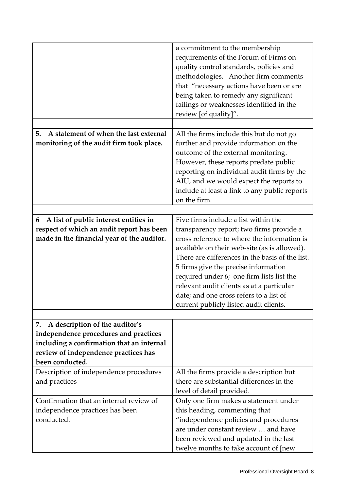|                                                                                                                                                                                       | a commitment to the membership<br>requirements of the Forum of Firms on<br>quality control standards, policies and<br>methodologies. Another firm comments<br>that "necessary actions have been or are<br>being taken to remedy any significant<br>failings or weaknesses identified in the<br>review [of quality]".                                                  |
|---------------------------------------------------------------------------------------------------------------------------------------------------------------------------------------|-----------------------------------------------------------------------------------------------------------------------------------------------------------------------------------------------------------------------------------------------------------------------------------------------------------------------------------------------------------------------|
| A statement of when the last external<br>5.                                                                                                                                           | All the firms include this but do not go                                                                                                                                                                                                                                                                                                                              |
| monitoring of the audit firm took place.                                                                                                                                              | further and provide information on the<br>outcome of the external monitoring.<br>However, these reports predate public<br>reporting on individual audit firms by the<br>AIU, and we would expect the reports to<br>include at least a link to any public reports<br>on the firm.                                                                                      |
|                                                                                                                                                                                       |                                                                                                                                                                                                                                                                                                                                                                       |
| A list of public interest entities in<br>6                                                                                                                                            | Five firms include a list within the                                                                                                                                                                                                                                                                                                                                  |
| respect of which an audit report has been                                                                                                                                             | transparency report; two firms provide a                                                                                                                                                                                                                                                                                                                              |
| made in the financial year of the auditor.                                                                                                                                            | cross reference to where the information is<br>available on their web-site (as is allowed).<br>There are differences in the basis of the list.<br>5 firms give the precise information<br>required under 6; one firm lists list the<br>relevant audit clients as at a particular<br>date; and one cross refers to a list of<br>current publicly listed audit clients. |
|                                                                                                                                                                                       |                                                                                                                                                                                                                                                                                                                                                                       |
| A description of the auditor's<br>7.<br>independence procedures and practices<br>including a confirmation that an internal<br>review of independence practices has<br>been conducted. |                                                                                                                                                                                                                                                                                                                                                                       |
| Description of independence procedures                                                                                                                                                | All the firms provide a description but                                                                                                                                                                                                                                                                                                                               |
| and practices                                                                                                                                                                         | there are substantial differences in the<br>level of detail provided.                                                                                                                                                                                                                                                                                                 |
| Confirmation that an internal review of                                                                                                                                               | Only one firm makes a statement under                                                                                                                                                                                                                                                                                                                                 |
| independence practices has been<br>conducted.                                                                                                                                         | this heading, commenting that<br>"independence policies and procedures<br>are under constant review  and have<br>been reviewed and updated in the last<br>twelve months to take account of [new                                                                                                                                                                       |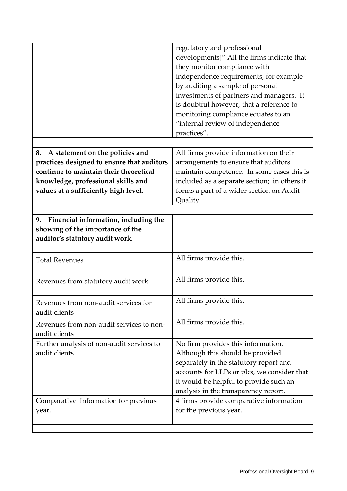|                                                                     | regulatory and professional<br>developments]" All the firms indicate that<br>they monitor compliance with<br>independence requirements, for example<br>by auditing a sample of personal<br>investments of partners and managers. It<br>is doubtful however, that a reference to<br>monitoring compliance equates to an<br>"internal review of independence<br>practices". |
|---------------------------------------------------------------------|---------------------------------------------------------------------------------------------------------------------------------------------------------------------------------------------------------------------------------------------------------------------------------------------------------------------------------------------------------------------------|
| A statement on the policies and<br>8.                               | All firms provide information on their                                                                                                                                                                                                                                                                                                                                    |
| practices designed to ensure that auditors                          | arrangements to ensure that auditors                                                                                                                                                                                                                                                                                                                                      |
| continue to maintain their theoretical                              | maintain competence. In some cases this is                                                                                                                                                                                                                                                                                                                                |
| knowledge, professional skills and                                  | included as a separate section; in others it                                                                                                                                                                                                                                                                                                                              |
| values at a sufficiently high level.                                | forms a part of a wider section on Audit                                                                                                                                                                                                                                                                                                                                  |
|                                                                     | Quality.                                                                                                                                                                                                                                                                                                                                                                  |
|                                                                     |                                                                                                                                                                                                                                                                                                                                                                           |
| Financial information, including the<br>9.                          |                                                                                                                                                                                                                                                                                                                                                                           |
| showing of the importance of the<br>auditor's statutory audit work. |                                                                                                                                                                                                                                                                                                                                                                           |
| <b>Total Revenues</b>                                               | All firms provide this.                                                                                                                                                                                                                                                                                                                                                   |
| Revenues from statutory audit work                                  | All firms provide this.                                                                                                                                                                                                                                                                                                                                                   |
| Revenues from non-audit services for<br>audit clients               | All firms provide this.                                                                                                                                                                                                                                                                                                                                                   |
| Revenues from non-audit services to non-<br>audit clients           | All firms provide this.                                                                                                                                                                                                                                                                                                                                                   |
| Further analysis of non-audit services to<br>audit clients          | No firm provides this information.<br>Although this should be provided<br>separately in the statutory report and<br>accounts for LLPs or plcs, we consider that<br>it would be helpful to provide such an<br>analysis in the transparency report.                                                                                                                         |
| Comparative Information for previous<br>year.                       | 4 firms provide comparative information<br>for the previous year.                                                                                                                                                                                                                                                                                                         |
|                                                                     |                                                                                                                                                                                                                                                                                                                                                                           |